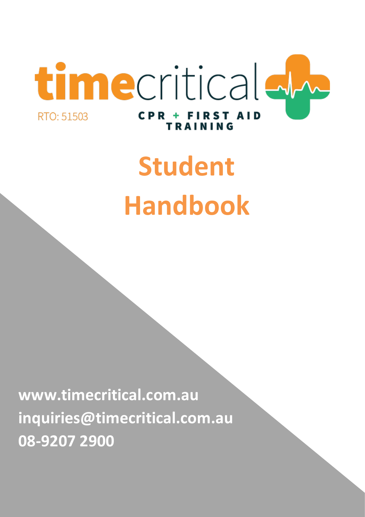

# **Student Handbook**

**www.timecritical.com.au inquiries@timecritical.com.au 08-9207 2900**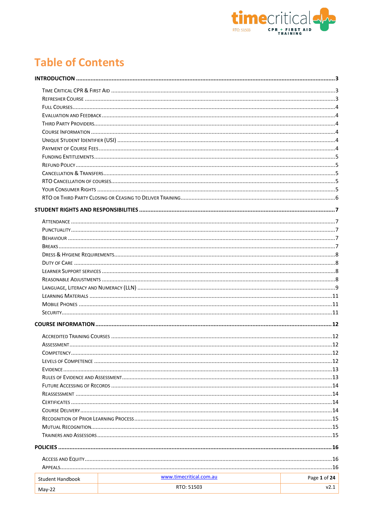

# **Table of Contents**

|                         | www.timecritical.com.au |              |
|-------------------------|-------------------------|--------------|
| <b>Student Handbook</b> |                         | Page 1 of 24 |
| $May-22$                | RTO: 51503              | v2.1         |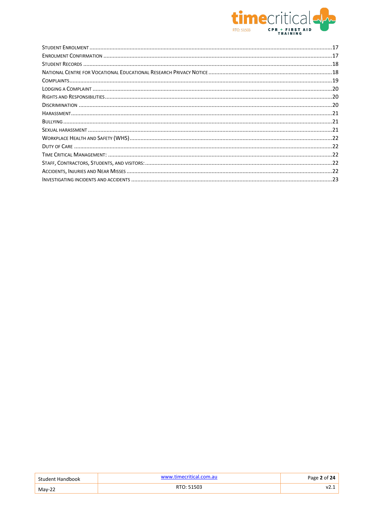

| Student Handbook | www.timecritical.com.au | Page 2 of 24 $\overline{a}$ |
|------------------|-------------------------|-----------------------------|
| $Mav-22$         | RTO: 51503              | VZ.1                        |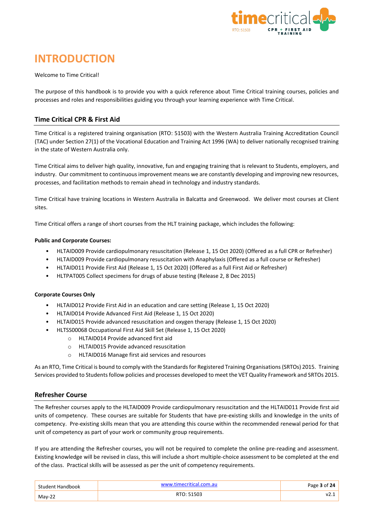

# <span id="page-3-0"></span>**INTRODUCTION**

#### Welcome to Time Critical!

The purpose of this handbook is to provide you with a quick reference about Time Critical training courses, policies and processes and roles and responsibilities guiding you through your learning experience with Time Critical.

# <span id="page-3-1"></span>**Time Critical CPR & First Aid**

Time Critical is a registered training organisation (RTO: 51503) with the Western Australia Training Accreditation Council (TAC) under Section 27(1) of the Vocational Education and Training Act 1996 (WA) to deliver nationally recognised training in the state of Western Australia only.

Time Critical aims to deliver high quality, innovative, fun and engaging training that is relevant to Students, employers, and industry. Our commitment to continuous improvement means we are constantly developing and improving new resources, processes, and facilitation methods to remain ahead in technology and industry standards.

Time Critical have training locations in Western Australia in Balcatta and Greenwood. We deliver most courses at Client sites.

Time Critical offers a range of short courses from the HLT training package, which includes the following:

#### **Public and Corporate Courses:**

- HLTAID009 Provide cardiopulmonary resuscitation (Release 1, 15 Oct 2020) (Offered as a full CPR or Refresher)
- HLTAID009 Provide cardiopulmonary resuscitation with Anaphylaxis (Offered as a full course or Refresher)
- HLTAID011 Provide First Aid (Release 1, 15 Oct 2020) (Offered as a full First Aid or Refresher)
- HLTPAT005 Collect specimens for drugs of abuse testing (Release 2, 8 Dec 2015)

#### **Corporate Courses Only**

- HLTAID012 Provide First Aid in an education and care setting (Release 1, 15 Oct 2020)
- HLTAID014 Provide Advanced First Aid (Release 1, 15 Oct 2020)
- HLTAID015 Provide advanced resuscitation and oxygen therapy (Release 1, 15 Oct 2020)
- HLTSS00068 Occupational First Aid Skill Set (Release 1, 15 Oct 2020)
	- o HLTAID014 Provide advanced first aid
	- o HLTAID015 Provide advanced resuscitation
	- o HLTAID016 Manage first aid services and resources

As an RTO, Time Critical is bound to comply with the Standards for Registered Training Organisations (SRTOs) 2015. Training Services provided to Students follow policies and processes developed to meet the VET Quality Framework and SRTOs 2015.

#### <span id="page-3-2"></span>**Refresher Course**

The Refresher courses apply to the HLTAID009 Provide cardiopulmonary resuscitation and the HLTAID011 Provide first aid units of competency. These courses are suitable for Students that have pre-existing skills and knowledge in the units of competency. Pre-existing skills mean that you are attending this course within the recommended renewal period for that unit of competency as part of your work or community group requirements.

If you are attending the Refresher courses, you will not be required to complete the online pre-reading and assessment. Existing knowledge will be revised in class, this will include a short multiple-choice assessment to be completed at the end of the class. Practical skills will be assessed as per the unit of competency requirements.

| Student Handbook | .com.au    | Page 3 of 24 |
|------------------|------------|--------------|
| $Mav-22$         | RTO: 51503 | V2           |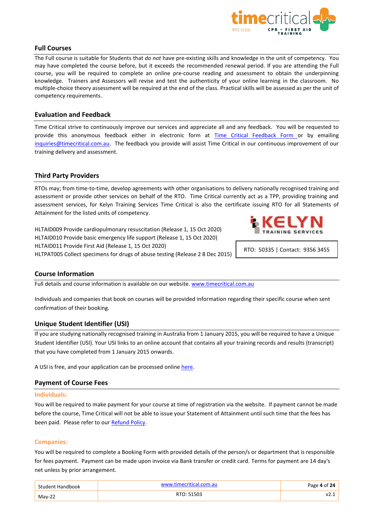

# <span id="page-4-0"></span>**Full Courses**

The Full course is suitable for Students that *do not* have pre-existing skills and knowledge in the unit of competency. You may have completed the course before, but it exceeds the recommended renewal period. If you are attending the Full course, you will be required to complete an online pre-course reading and assessment to obtain the underpinning knowledge. Trainers and Assessors will revise and test the authenticity of your online learning in the classroom. No multiple-choice theory assessment will be required at the end of the class. Practical skills will be assessed as per the unit of competency requirements.

# <span id="page-4-1"></span>**Evaluation and Feedback**

Time Critical strive to continuously improve our services and appreciate all and any feedback. You will be requested to provide this anonymous feedback either in electronic form at **[Time Critical Feedback Form](https://mastersit.com.au/vidatek/wp/index.php/learner/rto/timec)** or by emailing [inquiries@timecritical.com.au.](mailto:info@timecritical.com.au) The feedback you provide will assist Time Critical in our continuous improvement of our training delivery and assessment.

# <span id="page-4-2"></span>**Third Party Providers**

RTOs may; from time-to-time, develop agreements with other organisations to delivery nationally recognised training and assessment or provide other services on behalf of the RTO. Time Critical currently act as a TPP, providing training and assessment services, for Kelyn Training Services Time Critical is also the certificate issuing RTO for all Statements of Attainment for the listed units of competency.

HLTAID009 Provide cardiopulmonary resuscitation (Release 1, 15 Oct 2020) HLTAID010 Provide basic emergency life support (Release 1, 15 Oct 2020) HLTAID011 Provide First Aid (Release 1, 15 Oct 2020) HLTPAT005 Collect specimens for drugs of abuse testing (Release 2 8 Dec 2015)



RTO: 50335 | Contact: 9356 3455

# <span id="page-4-3"></span>**Course Information**

Full details and course information is available on our website[. www.timecritical.com.au](http://www.timecritical.com.au/courses)

Individuals and companies that book on courses will be provided information regarding their specific course when sent confirmation of their booking.

# <span id="page-4-4"></span>**Unique Student Identifier (USI)**

If you are studying nationally recognised training in Australia from 1 January 2015, you will be required to have a Unique Student Identifier (USI). Your USI links to an online account that contains all your training records and results (transcript) that you have completed from 1 January 2015 onwards.

A USI is free, and your application can be processed online [here.](http://www.usi.gov.au/)

# <span id="page-4-5"></span>**Payment of Course Fees**

#### **Individuals:**

You will be required to make payment for your course at time of registration via the website. If payment cannot be made before the course, Time Critical will not be able to issue your Statement of Attainment until such time that the fees has been paid. Please refer to our [Refund Policy.](#page-5-5)

#### **Companies:**

You will be required to complete a Booking Form with provided details of the person/s or department that is responsible for fees payment. Payment can be made upon invoice via Bank transfer or credit card. Terms for payment are 14 day's net unless by prior arrangement.

| Student Handbook | www.timecritical.com.au | Page 4 of 24 |
|------------------|-------------------------|--------------|
| $Mav-22$         | RTO: 51503              | v.           |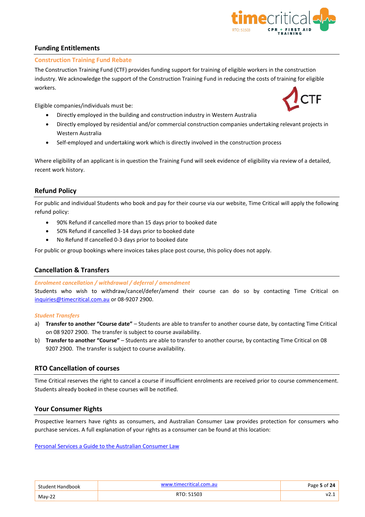

# <span id="page-5-0"></span>**Funding Entitlements**

# **Construction Training Fund Rebate**

The Construction Training Fund (CTF) provides funding support for training of eligible workers in the construction industry. We acknowledge the support of the Construction Training Fund in reducing the costs of training for eligible workers.

Eligible companies/individuals must be:

- Directly employed in the building and construction industry in Western Australia
- Directly employed by residential and/or commercial construction companies undertaking relevant projects in Western Australia
- Self-employed and undertaking work which is directly involved in the construction process

Where eligibility of an applicant is in question the Training Fund will seek evidence of eligibility via review of a detailed, recent work history.

# <span id="page-5-5"></span><span id="page-5-1"></span>**Refund Policy**

For public and individual Students who book and pay for their course via our website, Time Critical will apply the following refund policy:

- 90% Refund if cancelled more than 15 days prior to booked date
- 50% Refund if cancelled 3-14 days prior to booked date
- No Refund If cancelled 0-3 days prior to booked date

For public or group bookings where invoices takes place post course, this policy does not apply.

# <span id="page-5-2"></span>**Cancellation & Transfers**

#### *Enrolment cancellation / withdrawal / deferral / amendment*

Students who wish to withdraw/cancel/defer/amend their course can do so by contacting Time Critical on [inquiries@timecritical.com.au](mailto:info@timecritical.com.au) or 08-9207 2900.

#### *Student Transfers*

- a) **Transfer to another "Course date"** Students are able to transfer to another course date, by contacting Time Critical on 08 9207 2900. The transfer is subject to course availability.
- b) **Transfer to another "Course"** Students are able to transfer to another course, by contacting Time Critical on 08 9207 2900. The transfer is subject to course availability.

# <span id="page-5-3"></span>**RTO Cancellation of courses**

Time Critical reserves the right to cancel a course if insufficient enrolments are received prior to course commencement. Students already booked in these courses will be notified.

# <span id="page-5-4"></span>**Your Consumer Rights**

Prospective learners have rights as consumers, and Australian Consumer Law provides protection for consumers who purchase services. A full explanation of your rights as a consumer can be found at this location:

[Personal Services a Guide to the Australian Consumer Law](https://www.commerce.wa.gov.au/atom/810)

| Student Handbook | www.timecritical.com.au | Page 5 of 24 |
|------------------|-------------------------|--------------|
| $Mav-22$         | RTO: 51503              | .            |

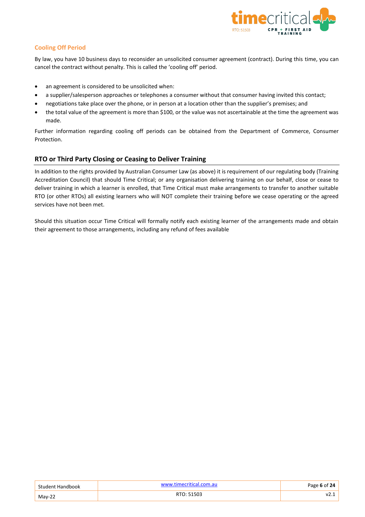

# **Cooling Off Period**

By law, you have 10 business days to reconsider an unsolicited consumer agreement (contract). During this time, you can cancel the contract without penalty. This is called the 'cooling off' period.

- an agreement is considered to be unsolicited when:
- a supplier/salesperson approaches or telephones a consumer without that consumer having invited this contact;
- negotiations take place over the phone, or in person at a location other than the supplier's premises; and
- the total value of the agreement is more than \$100, or the value was not ascertainable at the time the agreement was made.

Further information regarding cooling off periods can be obtained from the Department of Commerce, Consumer Protection.

# <span id="page-6-0"></span>**RTO or Third Party Closing or Ceasing to Deliver Training**

In addition to the rights provided by Australian Consumer Law (as above) it is requirement of our regulating body (Training Accreditation Council) that should Time Critical; or any organisation delivering training on our behalf, close or cease to deliver training in which a learner is enrolled, that Time Critical must make arrangements to transfer to another suitable RTO (or other RTOs) all existing learners who will NOT complete their training before we cease operating or the agreed services have not been met.

Should this situation occur Time Critical will formally notify each existing learner of the arrangements made and obtain their agreement to those arrangements, including any refund of fees available

| Student Handbook | www.timecritical.com.au | Page 6 of 24 |
|------------------|-------------------------|--------------|
| $Mav-22$         | RTO: 51503              | V2.1         |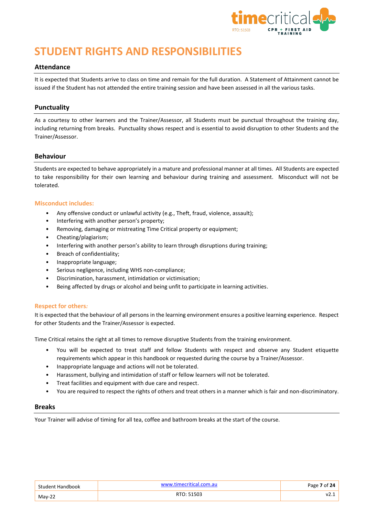

# <span id="page-7-0"></span>**STUDENT RIGHTS AND RESPONSIBILITIES**

#### <span id="page-7-1"></span>**Attendance**

It is expected that Students arrive to class on time and remain for the full duration. A Statement of Attainment cannot be issued if the Student has not attended the entire training session and have been assessed in all the various tasks.

## <span id="page-7-2"></span>**Punctuality**

As a courtesy to other learners and the Trainer/Assessor, all Students must be punctual throughout the training day, including returning from breaks. Punctuality shows respect and is essential to avoid disruption to other Students and the Trainer/Assessor.

#### <span id="page-7-3"></span>**Behaviour**

Students are expected to behave appropriately in a mature and professional manner at all times. All Students are expected to take responsibility for their own learning and behaviour during training and assessment. Misconduct will not be tolerated.

#### **Misconduct includes:**

- Any offensive conduct or unlawful activity (e.g., Theft, fraud, violence, assault);
- Interfering with another person's property;
- Removing, damaging or mistreating Time Critical property or equipment;
- Cheating/plagiarism;
- Interfering with another person's ability to learn through disruptions during training;
- Breach of confidentiality;
- Inappropriate language;
- Serious negligence, including WHS non-compliance;
- Discrimination, harassment, intimidation or victimisation;
- Being affected by drugs or alcohol and being unfit to participate in learning activities.

#### **Respect for others***:*

It is expected that the behaviour of all persons in the learning environment ensures a positive learning experience. Respect for other Students and the Trainer/Assessor is expected.

Time Critical retains the right at all times to remove disruptive Students from the training environment.

- You will be expected to treat staff and fellow Students with respect and observe any Student etiquette requirements which appear in this handbook or requested during the course by a Trainer/Assessor.
- Inappropriate language and actions will not be tolerated.
- Harassment, bullying and intimidation of staff or fellow learners will not be tolerated.
- Treat facilities and equipment with due care and respect.
- You are required to respect the rights of others and treat others in a manner which is fair and non-discriminatory.

#### <span id="page-7-4"></span>**Breaks**

Your Trainer will advise of timing for all tea, coffee and bathroom breaks at the start of the course.

| Student Handbook | timecritical.com.au.<br><b>A/A/A/A/</b> | Page 7 of 24 |
|------------------|-----------------------------------------|--------------|
| May-22           | RTO: 51503                              | v.           |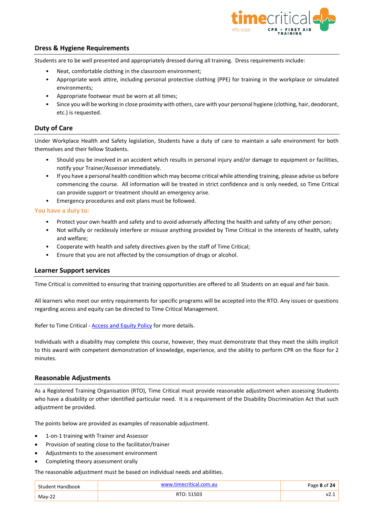

# <span id="page-8-0"></span>**Dress & Hygiene Requirements**

Students are to be well presented and appropriately dressed during all training. Dress requirements include:

- Neat, comfortable clothing in the classroom environment;
- Appropriate work attire, including personal protective clothing (PPE) for training in the workplace or simulated environments;
- Appropriate footwear must be worn at all times;
- Since you will be working in close proximity with others, care with your personal hygiene (clothing, hair, deodorant, etc.) is requested.

#### <span id="page-8-1"></span>**Duty of Care**

Under Workplace Health and Safety legislation, Students have a duty of care to maintain a safe environment for both themselves and their fellow Students.

- Should you be involved in an accident which results in personal injury and/or damage to equipment or facilities, notify your Trainer/Assessor immediately.
- If you have a personal health condition which may become critical while attending training, please advise us before commencing the course. All information will be treated in strict confidence and is only needed, so Time Critical can provide support or treatment should an emergency arise.
- Emergency procedures and exit plans must be followed.

**You have a duty to:**

- Protect your own health and safety and to avoid adversely affecting the health and safety of any other person;
- Not wilfully or recklessly interfere or misuse anything provided by Time Critical in the interests of health, safety and welfare;
- Cooperate with health and safety directives given by the staff of Time Critical;
- Ensure that you are not affected by the consumption of drugs or alcohol.

#### <span id="page-8-2"></span>**Learner Support services**

Time Critical is committed to ensuring that training opportunities are offered to all Students on an equal and fair basis.

All learners who meet our entry requirements for specific programs will be accepted into the RTO. Any issues or questions regarding access and equity can be directed to Time Critical Management.

Refer to Time Critical - **[Access and Equity Policy](#page-16-3)** for more details.

Individuals with a disability may complete this course, however, they must demonstrate that they meet the skills implicit to this award with competent demonstration of knowledge, experience, and the ability to perform CPR on the floor for 2 minutes.

#### <span id="page-8-3"></span>**Reasonable Adjustments**

As a Registered Training Organisation (RTO), Time Critical must provide reasonable adjustment when assessing Students who have a disability or other identified particular need. It is a requirement of the Disability Discrimination Act that such adjustment be provided.

The points below are provided as examples of reasonable adjustment.

- 1-on-1 training with Trainer and Assessor
- Provision of seating close to the facilitator/trainer
- Adjustments to the assessment environment
- Completing theory assessment orally

The reasonable adjustment must be based on individual needs and abilities.

| Student Handbook | www.timecritical.com.au |    |
|------------------|-------------------------|----|
| $May-22$         | RTO: 51503              | V2 |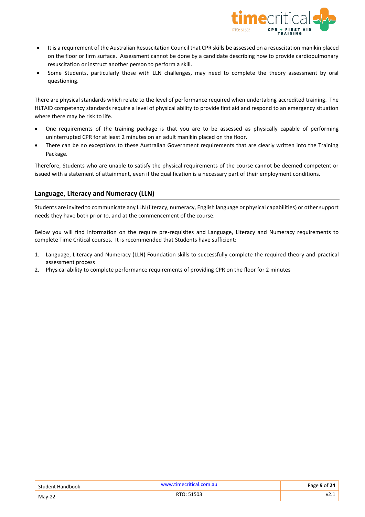

- It is a requirement of the Australian Resuscitation Council that CPR skills be assessed on a resuscitation manikin placed on the floor or firm surface. Assessment cannot be done by a candidate describing how to provide cardiopulmonary resuscitation or instruct another person to perform a skill.
- Some Students, particularly those with LLN challenges, may need to complete the theory assessment by oral questioning.

There are physical standards which relate to the level of performance required when undertaking accredited training. The HLTAID competency standards require a level of physical ability to provide first aid and respond to an emergency situation where there may be risk to life.

- One requirements of the training package is that you are to be assessed as physically capable of performing uninterrupted CPR for at least 2 minutes on an adult manikin placed on the floor.
- There can be no exceptions to these Australian Government requirements that are clearly written into the Training Package.

Therefore, Students who are unable to satisfy the physical requirements of the course cannot be deemed competent or issued with a statement of attainment, even if the qualification is a necessary part of their employment conditions.

# <span id="page-9-0"></span>**Language, Literacy and Numeracy (LLN)**

Students are invited to communicate any LLN (literacy, numeracy, English language or physical capabilities) or other support needs they have both prior to, and at the commencement of the course.

Below you will find information on the require pre-requisites and Language, Literacy and Numeracy requirements to complete Time Critical courses. It is recommended that Students have sufficient:

- 1. Language, Literacy and Numeracy (LLN) Foundation skills to successfully complete the required theory and practical assessment process
- 2. Physical ability to complete performance requirements of providing CPR on the floor for 2 minutes

| Student Handbook | www.timecritical.com.au | Page 9 of 24 $ $ |
|------------------|-------------------------|------------------|
| $Mav-22$         | RTO: 51503              | V2. .            |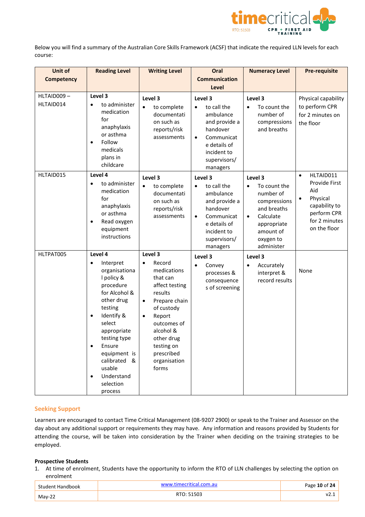

Below you will find a summary of the Australian Core Skills Framework (ACSF) that indicate the required LLN levels for each course:

| Unit of                 | <b>Reading Level</b>                                                                                                                                                                                                                                                                  | <b>Writing Level</b>                                                                                                                                                                                                                                     | Oral                                                                                                                                                                | <b>Numeracy Level</b>                                                                                                                                             | <b>Pre-requisite</b>                                                                                                        |
|-------------------------|---------------------------------------------------------------------------------------------------------------------------------------------------------------------------------------------------------------------------------------------------------------------------------------|----------------------------------------------------------------------------------------------------------------------------------------------------------------------------------------------------------------------------------------------------------|---------------------------------------------------------------------------------------------------------------------------------------------------------------------|-------------------------------------------------------------------------------------------------------------------------------------------------------------------|-----------------------------------------------------------------------------------------------------------------------------|
| <b>Competency</b>       |                                                                                                                                                                                                                                                                                       |                                                                                                                                                                                                                                                          | <b>Communication</b><br><b>Level</b>                                                                                                                                |                                                                                                                                                                   |                                                                                                                             |
| HLTAID009-<br>HLTAID014 | Level 3<br>to administer<br>$\bullet$<br>medication<br>for<br>anaphylaxis<br>or asthma<br>Follow<br>$\bullet$<br>medicals<br>plans in<br>childcare                                                                                                                                    | Level 3<br>to complete<br>$\bullet$<br>documentati<br>on such as<br>reports/risk<br>assessments                                                                                                                                                          | Level 3<br>to call the<br>$\bullet$<br>ambulance<br>and provide a<br>handover<br>Communicat<br>$\bullet$<br>e details of<br>incident to<br>supervisors/<br>managers | Level 3<br>To count the<br>$\bullet$<br>number of<br>compressions<br>and breaths                                                                                  | Physical capability<br>to perform CPR<br>for 2 minutes on<br>the floor                                                      |
| HLTAID015               | Level 4<br>to administer<br>medication<br>for<br>anaphylaxis<br>or asthma<br>Read oxygen<br>$\bullet$<br>equipment<br>instructions                                                                                                                                                    | Level 3<br>to complete<br>$\bullet$<br>documentati<br>on such as<br>reports/risk<br>assessments                                                                                                                                                          | Level 3<br>to call the<br>$\bullet$<br>ambulance<br>and provide a<br>handover<br>Communicat<br>$\bullet$<br>e details of<br>incident to<br>supervisors/<br>managers | Level 3<br>To count the<br>$\bullet$<br>number of<br>compressions<br>and breaths<br>Calculate<br>$\bullet$<br>appropriate<br>amount of<br>oxygen to<br>administer | HLTAID011<br>$\bullet$<br>Provide First<br>Aid<br>Physical<br>capability to<br>perform CPR<br>for 2 minutes<br>on the floor |
| HLTPAT005               | Level 4<br>Interpret<br>$\bullet$<br>organisationa<br>I policy &<br>procedure<br>for Alcohol &<br>other drug<br>testing<br>Identify &<br>$\bullet$<br>select<br>appropriate<br>testing type<br>Ensure<br>equipment is<br>calibrated &<br>usable<br>Understand<br>selection<br>process | Level 3<br>Record<br>$\bullet$<br>medications<br>that can<br>affect testing<br>results<br>Prepare chain<br>$\bullet$<br>of custody<br>Report<br>$\bullet$<br>outcomes of<br>alcohol &<br>other drug<br>testing on<br>prescribed<br>organisation<br>forms | Level 3<br>Convey<br>$\bullet$<br>processes &<br>consequence<br>s of screening                                                                                      | Level 3<br>Accurately<br>$\bullet$<br>interpret &<br>record results                                                                                               | None                                                                                                                        |

#### **Seeking Support**

Learners are encouraged to contact Time Critical Management (08-9207 2900) or speak to the Trainer and Assessor on the day about any additional support or requirements they may have. Any information and reasons provided by Students for attending the course, will be taken into consideration by the Trainer when deciding on the training strategies to be employed.

#### **Prospective Students**

1. At time of enrolment, Students have the opportunity to inform the RTO of LLN challenges by selecting the option on enrolment

| Student Handbook | www.timerritical.com<br>l.com.au | Page 10 of 24 |
|------------------|----------------------------------|---------------|
| $Mav-22$         | RTO: 51503                       | V2.1          |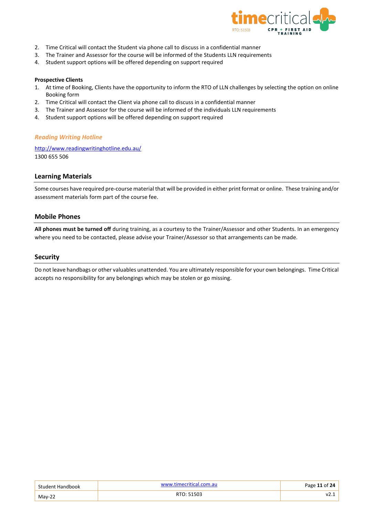

- 2. Time Critical will contact the Student via phone call to discuss in a confidential manner
- 3. The Trainer and Assessor for the course will be informed of the Students LLN requirements
- 4. Student support options will be offered depending on support required

#### **Prospective Clients**

- 1. At time of Booking, Clients have the opportunity to inform the RTO of LLN challenges by selecting the option on online Booking form
- 2. Time Critical will contact the Client via phone call to discuss in a confidential manner
- 3. The Trainer and Assessor for the course will be informed of the individuals LLN requirements
- 4. Student support options will be offered depending on support required

# *Reading Writing Hotline*

<http://www.readingwritinghotline.edu.au/> 1300 655 506

# <span id="page-11-0"></span>**Learning Materials**

Some courses have required pre-course material that will be provided in either print format or online. These training and/or assessment materials form part of the course fee.

# <span id="page-11-1"></span>**Mobile Phones**

**All phones must be turned off** during training, as a courtesy to the Trainer/Assessor and other Students. In an emergency where you need to be contacted, please advise your Trainer/Assessor so that arrangements can be made.

## <span id="page-11-2"></span>**Security**

Do not leave handbags or other valuables unattended. You are ultimately responsible for your own belongings. Time Critical accepts no responsibility for any belongings which may be stolen or go missing.

| <b>Student Handbook</b> | timecritical.com.au<br>AISSIS 1 | Page 11 of 24 |
|-------------------------|---------------------------------|---------------|
| $Mav-22$                | RTO: 51503                      | 14.1          |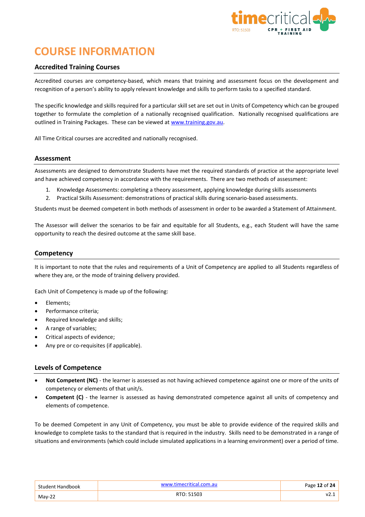

# <span id="page-12-0"></span>**COURSE INFORMATION**

## <span id="page-12-1"></span>**Accredited Training Courses**

Accredited courses are competency-based, which means that training and assessment focus on the development and recognition of a person's ability to apply relevant knowledge and skills to perform tasks to a specified standard.

The specific knowledge and skills required for a particular skill set are set out in Units of Competency which can be grouped together to formulate the completion of a nationally recognised qualification. Nationally recognised qualifications are outlined in Training Packages. These can be viewed at [www.training.gov.au.](http://www.training.gov.au/)

All Time Critical courses are accredited and nationally recognised.

#### <span id="page-12-2"></span>**Assessment**

Assessments are designed to demonstrate Students have met the required standards of practice at the appropriate level and have achieved competency in accordance with the requirements. There are two methods of assessment:

- 1. Knowledge Assessments: completing a theory assessment, applying knowledge during skills assessments
- 2. Practical Skills Assessment: demonstrations of practical skills during scenario-based assessments.

Students must be deemed competent in both methods of assessment in order to be awarded a Statement of Attainment.

The Assessor will deliver the scenarios to be fair and equitable for all Students, e.g., each Student will have the same opportunity to reach the desired outcome at the same skill base.

#### <span id="page-12-3"></span>**Competency**

It is important to note that the rules and requirements of a Unit of Competency are applied to all Students regardless of where they are, or the mode of training delivery provided.

Each Unit of Competency is made up of the following:

- Elements;
- Performance criteria;
- Required knowledge and skills;
- A range of variables;
- Critical aspects of evidence;
- Any pre or co-requisites (if applicable).

#### <span id="page-12-4"></span>**Levels of Competence**

- **Not Competent (NC)** the learner is assessed as not having achieved competence against one or more of the units of competency or elements of that unit/s.
- **Competent (C)** the learner is assessed as having demonstrated competence against all units of competency and elements of competence.

To be deemed Competent in any Unit of Competency, you must be able to provide evidence of the required skills and knowledge to complete tasks to the standard that is required in the industry. Skills need to be demonstrated in a range of situations and environments (which could include simulated applications in a learning environment) over a period of time.

| Student Handbook | www timecritical.com.au | Page 12 of 24, |
|------------------|-------------------------|----------------|
| $Mav-22$         | RTO: 51503              | VZ.J           |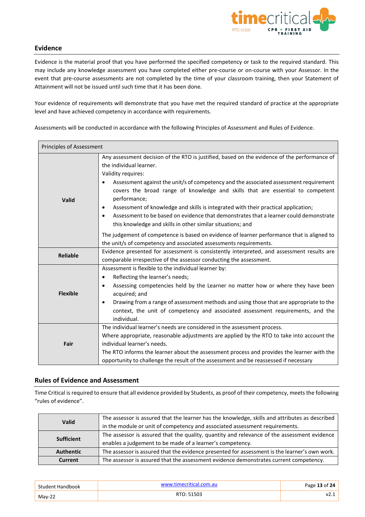

# <span id="page-13-0"></span>**Evidence**

Evidence is the material proof that you have performed the specified competency or task to the required standard. This may include any knowledge assessment you have completed either pre-course or on-course with your Assessor. In the event that pre-course assessments are not completed by the time of your classroom training, then your Statement of Attainment will not be issued until such time that it has been done.

Your evidence of requirements will demonstrate that you have met the required standard of practice at the appropriate level and have achieved competency in accordance with requirements.

Assessments will be conducted in accordance with the following Principles of Assessment and Rules of Evidence.

| <b>Principles of Assessment</b> |                                                                                                                                                                                                                                                                                                                                                                                                                                                                                                                                                                                                                 |
|---------------------------------|-----------------------------------------------------------------------------------------------------------------------------------------------------------------------------------------------------------------------------------------------------------------------------------------------------------------------------------------------------------------------------------------------------------------------------------------------------------------------------------------------------------------------------------------------------------------------------------------------------------------|
| Valid                           | Any assessment decision of the RTO is justified, based on the evidence of the performance of<br>the individual learner.<br>Validity requires:<br>Assessment against the unit/s of competency and the associated assessment requirement<br>covers the broad range of knowledge and skills that are essential to competent<br>performance;<br>Assessment of knowledge and skills is integrated with their practical application;<br>$\bullet$<br>Assessment to be based on evidence that demonstrates that a learner could demonstrate<br>$\bullet$<br>this knowledge and skills in other similar situations; and |
|                                 | The judgement of competence is based on evidence of learner performance that is aligned to<br>the unit/s of competency and associated assessments requirements.                                                                                                                                                                                                                                                                                                                                                                                                                                                 |
| <b>Reliable</b>                 | Evidence presented for assessment is consistently interpreted, and assessment results are<br>comparable irrespective of the assessor conducting the assessment.                                                                                                                                                                                                                                                                                                                                                                                                                                                 |
| <b>Flexible</b>                 | Assessment is flexible to the individual learner by:<br>Reflecting the learner's needs;<br>٠<br>Assessing competencies held by the Learner no matter how or where they have been<br>٠<br>acquired; and<br>Drawing from a range of assessment methods and using those that are appropriate to the<br>$\bullet$<br>context, the unit of competency and associated assessment requirements, and the<br>individual.                                                                                                                                                                                                 |
| Fair                            | The individual learner's needs are considered in the assessment process.<br>Where appropriate, reasonable adjustments are applied by the RTO to take into account the<br>individual learner's needs.<br>The RTO informs the learner about the assessment process and provides the learner with the<br>opportunity to challenge the result of the assessment and be reassessed if necessary                                                                                                                                                                                                                      |

# <span id="page-13-1"></span>**Rules of Evidence and Assessment**

Time Critical is required to ensure that all evidence provided by Students, as proof of their competency, meets the following "rules of evidence".

| The assessor is assured that the learner has the knowledge, skills and attributes as described<br><b>Valid</b><br>in the module or unit of competency and associated assessment requirements. |                                                                                                                                                          |
|-----------------------------------------------------------------------------------------------------------------------------------------------------------------------------------------------|----------------------------------------------------------------------------------------------------------------------------------------------------------|
| <b>Sufficient</b>                                                                                                                                                                             | The assessor is assured that the quality, quantity and relevance of the assessment evidence<br>enables a judgement to be made of a learner's competency. |
| <b>Authentic</b>                                                                                                                                                                              | The assessor is assured that the evidence presented for assessment is the learner's own work.                                                            |
| Current                                                                                                                                                                                       | The assessor is assured that the assessment evidence demonstrates current competency.                                                                    |

| Student Handbook | www.timecritical.com.au | Page 13 of 24 |
|------------------|-------------------------|---------------|
| $Mav-22$         | RTO: 51503              | V2.           |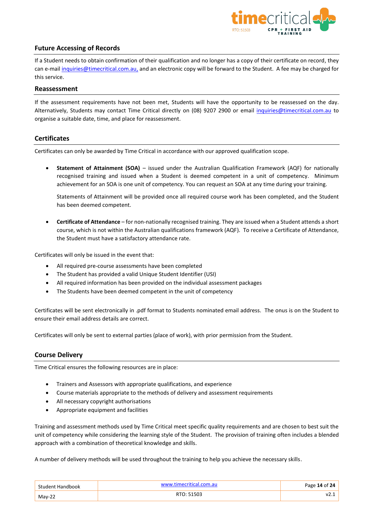

# <span id="page-14-0"></span>**Future Accessing of Records**

If a Student needs to obtain confirmation of their qualification and no longer has a copy of their certificate on record, they can e-mail [inquiries@timecritical.com.au,](mailto:info@timecritical.com.au) and an electronic copy will be forward to the Student. A fee may be charged for this service.

#### <span id="page-14-1"></span>**Reassessment**

If the assessment requirements have not been met, Students will have the opportunity to be reassessed on the day. Alternatively, Students may contact Time Critical directly on (08) 9207 2900 or email [inquiries@timecritical.com.au](mailto:info@timecritical.com.au) to organise a suitable date, time, and place for reassessment.

# <span id="page-14-2"></span>**Certificates**

Certificates can only be awarded by Time Critical in accordance with our approved qualification scope.

• **Statement of Attainment (SOA)** – issued under the Australian Qualification Framework (AQF) for nationally recognised training and issued when a Student is deemed competent in a unit of competency. Minimum achievement for an SOA is one unit of competency. You can request an SOA at any time during your training.

Statements of Attainment will be provided once all required course work has been completed, and the Student has been deemed competent.

• **Certificate of Attendance** – for non-nationally recognised training. They are issued when a Student attends a short course, which is not within the Australian qualifications framework (AQF). To receive a Certificate of Attendance, the Student must have a satisfactory attendance rate.

Certificates will only be issued in the event that:

- All required pre-course assessments have been completed
- The Student has provided a valid Unique Student Identifier (USI)
- All required information has been provided on the individual assessment packages
- The Students have been deemed competent in the unit of competency

Certificates will be sent electronically in .pdf format to Students nominated email address. The onus is on the Student to ensure their email address details are correct.

Certificates will only be sent to external parties (place of work), with prior permission from the Student.

# <span id="page-14-3"></span>**Course Delivery**

Time Critical ensures the following resources are in place:

- Trainers and Assessors with appropriate qualifications, and experience
- Course materials appropriate to the methods of delivery and assessment requirements
- All necessary copyright authorisations
- Appropriate equipment and facilities

Training and assessment methods used by Time Critical meet specific quality requirements and are chosen to best suit the unit of competency while considering the learning style of the Student. The provision of training often includes a blended approach with a combination of theoretical knowledge and skills.

A number of delivery methods will be used throughout the training to help you achieve the necessary skills.

| Student<br>Handbook | mocritical | 24<br>Page 14 of 2 |
|---------------------|------------|--------------------|
| $May-22$            | RTO: 51503 | м.<br>.            |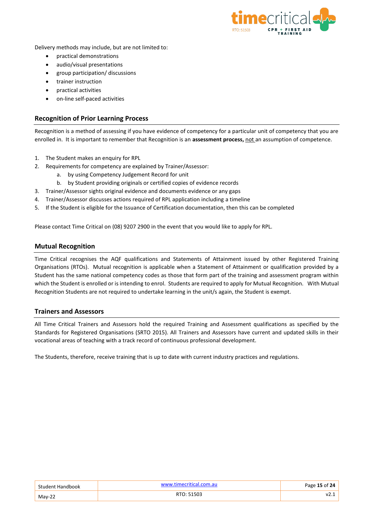

Delivery methods may include, but are not limited to:

- practical demonstrations
- audio/visual presentations
- group participation/ discussions
- trainer instruction
- practical activities
- on-line self-paced activities

## <span id="page-15-0"></span>**Recognition of Prior Learning Process**

Recognition is a method of assessing if you have evidence of competency for a particular unit of competency that you are enrolled in. It is important to remember that Recognition is an **assessment process,** not an assumption of competence.

- 1. The Student makes an enquiry for RPL
- 2. Requirements for competency are explained by Trainer/Assessor:
	- a. by using Competency Judgement Record for unit
	- b. by Student providing originals or certified copies of evidence records
- 3. Trainer/Assessor sights original evidence and documents evidence or any gaps
- 4. Trainer/Assessor discusses actions required of RPL application including a timeline
- 5. If the Student is eligible for the Issuance of Certification documentation, then this can be completed

Please contact Time Critical on (08) 9207 2900 in the event that you would like to apply for RPL.

#### <span id="page-15-1"></span>**Mutual Recognition**

Time Critical recognises the AQF qualifications and Statements of Attainment issued by other Registered Training Organisations (RTOs). Mutual recognition is applicable when a Statement of Attainment or qualification provided by a Student has the same national competency codes as those that form part of the training and assessment program within which the Student is enrolled or is intending to enrol. Students are required to apply for Mutual Recognition. With Mutual Recognition Students are not required to undertake learning in the unit/s again, the Student is exempt.

#### <span id="page-15-2"></span>**Trainers and Assessors**

All Time Critical Trainers and Assessors hold the required Training and Assessment qualifications as specified by the Standards for Registered Organisations (SRTO 2015). All Trainers and Assessors have current and updated skills in their vocational areas of teaching with a track record of continuous professional development.

The Students, therefore, receive training that is up to date with current industry practices and regulations.

| Student Handbook | www.timecritical.com.au | Page 15 of 24, |
|------------------|-------------------------|----------------|
| $Mav-22$         | RTO: 51503              |                |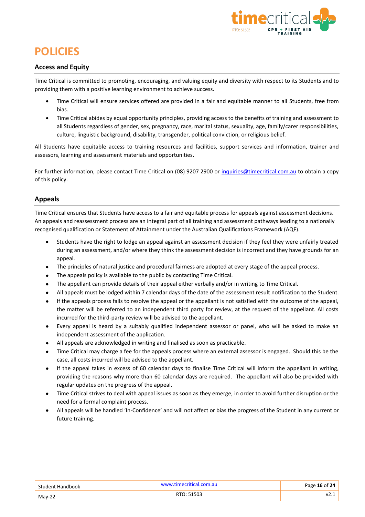

# <span id="page-16-0"></span>**POLICIES**

# <span id="page-16-3"></span><span id="page-16-1"></span>**Access and Equity**

Time Critical is committed to promoting, encouraging, and valuing equity and diversity with respect to its Students and to providing them with a positive learning environment to achieve success.

- Time Critical will ensure services offered are provided in a fair and equitable manner to all Students, free from bias.
- Time Critical abides by equal opportunity principles, providing access to the benefits of training and assessment to all Students regardless of gender, sex, pregnancy, race, marital status, sexuality, age, family/carer responsibilities, culture, linguistic background, disability, transgender, political conviction, or religious belief.

All Students have equitable access to training resources and facilities, support services and information, trainer and assessors, learning and assessment materials and opportunities.

For further information, please contact Time Critical on (08) 9207 2900 or [inquiries@timecritical.com.au](mailto:info@timecritical.com.au) to obtain a copy of this policy.

# <span id="page-16-2"></span>**Appeals**

Time Critical ensures that Students have access to a fair and equitable process for appeals against assessment decisions. An appeals and reassessment process are an integral part of all training and assessment pathways leading to a nationally recognised qualification or Statement of Attainment under the Australian Qualifications Framework (AQF).

- Students have the right to lodge an appeal against an assessment decision if they feel they were unfairly treated during an assessment, and/or where they think the assessment decision is incorrect and they have grounds for an appeal.
- The principles of natural justice and procedural fairness are adopted at every stage of the appeal process.
- The appeals policy is available to the public by contacting Time Critical.
- The appellant can provide details of their appeal either verbally and/or in writing to Time Critical.
- All appeals must be lodged within 7 calendar days of the date of the assessment result notification to the Student.
- If the appeals process fails to resolve the appeal or the appellant is not satisfied with the outcome of the appeal, the matter will be referred to an independent third party for review, at the request of the appellant. All costs incurred for the third-party review will be advised to the appellant.
- Every appeal is heard by a suitably qualified independent assessor or panel, who will be asked to make an independent assessment of the application.
- All appeals are acknowledged in writing and finalised as soon as practicable.
- Time Critical may charge a fee for the appeals process where an external assessor is engaged. Should this be the case, all costs incurred will be advised to the appellant.
- If the appeal takes in excess of 60 calendar days to finalise Time Critical will inform the appellant in writing, providing the reasons why more than 60 calendar days are required. The appellant will also be provided with regular updates on the progress of the appeal.
- Time Critical strives to deal with appeal issues as soon as they emerge, in order to avoid further disruption or the need for a formal complaint process.
- All appeals will be handled 'In-Confidence' and will not affect or bias the progress of the Student in any current or future training.

| Student Handbook | www.timecritical.com.au | Page 16 of 24 |
|------------------|-------------------------|---------------|
| $Mav-22$         | RTO: 51503              | ۷2.           |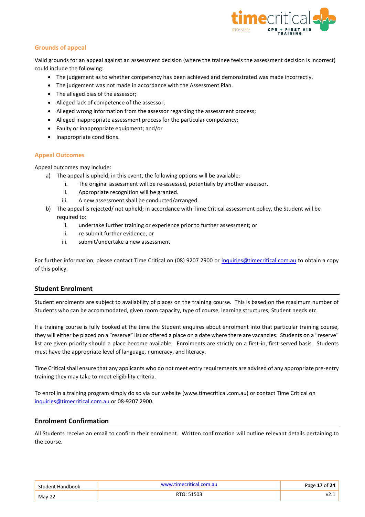

# **Grounds of appeal**

Valid grounds for an appeal against an assessment decision (where the trainee feels the assessment decision is incorrect) could include the following:

- The judgement as to whether competency has been achieved and demonstrated was made incorrectly,
- The judgement was not made in accordance with the Assessment Plan.
- The alleged bias of the assessor;
- Alleged lack of competence of the assessor;
- Alleged wrong information from the assessor regarding the assessment process;
- Alleged inappropriate assessment process for the particular competency;
- Faulty or inappropriate equipment; and/or
- Inappropriate conditions.

#### **Appeal Outcomes**

Appeal outcomes may include:

- a) The appeal is upheld; in this event, the following options will be available:
	- i. The original assessment will be re-assessed, potentially by another assessor.
	- ii. Appropriate recognition will be granted.
	- iii. A new assessment shall be conducted/arranged.
- b) The appeal is rejected/ not upheld; in accordance with Time Critical assessment policy, the Student will be required to:
	- i. undertake further training or experience prior to further assessment; or
	- ii. re-submit further evidence; or
	- iii. submit/undertake a new assessment

For further information, please contact Time Critical on (08) 9207 2900 or [inquiries@timecritical.com.au](mailto:info@timecritical.com.au) to obtain a copy of this policy.

# <span id="page-17-0"></span>**Student Enrolment**

Student enrolments are subject to availability of places on the training course. This is based on the maximum number of Students who can be accommodated, given room capacity, type of course, learning structures, Student needs etc.

If a training course is fully booked at the time the Student enquires about enrolment into that particular training course, they will either be placed on a "reserve" list or offered a place on a date where there are vacancies. Students on a "reserve" list are given priority should a place become available. Enrolments are strictly on a first-in, first-served basis. Students must have the appropriate level of language, numeracy, and literacy.

Time Critical shall ensure that any applicants who do not meet entry requirements are advised of any appropriate pre-entry training they may take to meet eligibility criteria.

To enrol in a training program simply do so via our website (www.timecritical.com.au) or contact Time Critical on [inquiries@timecritical.com.au](mailto:info@timecritical.com.au) or 08-9207 2900.

# <span id="page-17-1"></span>**Enrolment Confirmation**

All Students receive an email to confirm their enrolment. Written confirmation will outline relevant details pertaining to the course.

| Student Handbook | www.timecritical.com.au | Page 17 of 24 |
|------------------|-------------------------|---------------|
| May-22           | RTO: 51503              |               |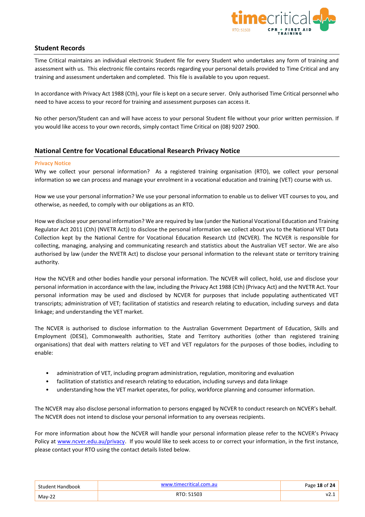

# <span id="page-18-0"></span>**Student Records**

Time Critical maintains an individual electronic Student file for every Student who undertakes any form of training and assessment with us. This electronic file contains records regarding your personal details provided to Time Critical and any training and assessment undertaken and completed. This file is available to you upon request.

In accordance with Privacy Act 1988 (Cth), your file is kept on a secure server. Only authorised Time Critical personnel who need to have access to your record for training and assessment purposes can access it.

No other person/Student can and will have access to your personal Student file without your prior written permission. If you would like access to your own records, simply contact Time Critical on (08) 9207 2900.

# <span id="page-18-1"></span>**National Centre for Vocational Educational Research Privacy Notice**

#### **Privacy Notice**

Why we collect your personal information? As a registered training organisation (RTO), we collect your personal information so we can process and manage your enrolment in a vocational education and training (VET) course with us.

How we use your personal information? We use your personal information to enable us to deliver VET courses to you, and otherwise, as needed, to comply with our obligations as an RTO.

How we disclose your personal information? We are required by law (under the National Vocational Education and Training Regulator Act 2011 (Cth) (NVETR Act)) to disclose the personal information we collect about you to the National VET Data Collection kept by the National Centre for Vocational Education Research Ltd (NCVER). The NCVER is responsible for collecting, managing, analysing and communicating research and statistics about the Australian VET sector. We are also authorised by law (under the NVETR Act) to disclose your personal information to the relevant state or territory training authority.

How the NCVER and other bodies handle your personal information. The NCVER will collect, hold, use and disclose your personal information in accordance with the law, including the Privacy Act 1988 (Cth) (Privacy Act) and the NVETR Act. Your personal information may be used and disclosed by NCVER for purposes that include populating authenticated VET transcripts; administration of VET; facilitation of statistics and research relating to education, including surveys and data linkage; and understanding the VET market.

The NCVER is authorised to disclose information to the Australian Government Department of Education, Skills and Employment (DESE), Commonwealth authorities, State and Territory authorities (other than registered training organisations) that deal with matters relating to VET and VET regulators for the purposes of those bodies, including to enable:

- administration of VET, including program administration, regulation, monitoring and evaluation
- facilitation of statistics and research relating to education, including surveys and data linkage
- understanding how the VET market operates, for policy, workforce planning and consumer information.

The NCVER may also disclose personal information to persons engaged by NCVER to conduct research on NCVER's behalf. The NCVER does not intend to disclose your personal information to any overseas recipients.

For more information about how the NCVER will handle your personal information please refer to the NCVER's Privacy Policy at [www.ncver.edu.au/privacy.](http://www.ncver.edu.au/privacy) If you would like to seek access to or correct your information, in the first instance, please contact your RTO using the contact details listed below.

| Student Handbook | www.timecritical.com.au | Page 18 of 24, |
|------------------|-------------------------|----------------|
| $Mav-22$         | RTO: 51503              | VZ.            |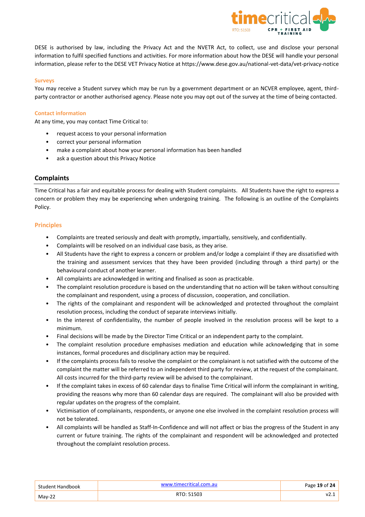

DESE is authorised by law, including the Privacy Act and the NVETR Act, to collect, use and disclose your personal information to fulfil specified functions and activities. For more information about how the DESE will handle your personal information, please refer to the DESE VET Privacy Notice at https://www.dese.gov.au/national-vet-data/vet-privacy-notice

#### **Surveys**

You may receive a Student survey which may be run by a government department or an NCVER employee, agent, thirdparty contractor or another authorised agency. Please note you may opt out of the survey at the time of being contacted.

#### **Contact information**

At any time, you may contact Time Critical to:

- request access to your personal information
- correct your personal information
- make a complaint about how your personal information has been handled
- ask a question about this Privacy Notice

# <span id="page-19-0"></span>**Complaints**

Time Critical has a fair and equitable process for dealing with Student complaints. All Students have the right to express a concern or problem they may be experiencing when undergoing training. The following is an outline of the Complaints Policy.

#### **Principles**

- Complaints are treated seriously and dealt with promptly, impartially, sensitively, and confidentially.
- Complaints will be resolved on an individual case basis, as they arise.
- All Students have the right to express a concern or problem and/or lodge a complaint if they are dissatisfied with the training and assessment services that they have been provided (including through a third party) or the behavioural conduct of another learner.
- All complaints are acknowledged in writing and finalised as soon as practicable.
- The complaint resolution procedure is based on the understanding that no action will be taken without consulting the complainant and respondent, using a process of discussion, cooperation, and conciliation.
- The rights of the complainant and respondent will be acknowledged and protected throughout the complaint resolution process, including the conduct of separate interviews initially.
- In the interest of confidentiality, the number of people involved in the resolution process will be kept to a minimum.
- Final decisions will be made by the Director Time Critical or an independent party to the complaint.
- The complaint resolution procedure emphasises mediation and education while acknowledging that in some instances, formal procedures and disciplinary action may be required.
- If the complaints process fails to resolve the complaint or the complainant is not satisfied with the outcome of the complaint the matter will be referred to an independent third party for review, at the request of the complainant. All costs incurred for the third-party review will be advised to the complainant.
- If the complaint takes in excess of 60 calendar days to finalise Time Critical will inform the complainant in writing, providing the reasons why more than 60 calendar days are required. The complainant will also be provided with regular updates on the progress of the complaint.
- Victimisation of complainants, respondents, or anyone one else involved in the complaint resolution process will not be tolerated.
- All complaints will be handled as Staff-In-Confidence and will not affect or bias the progress of the Student in any current or future training. The rights of the complainant and respondent will be acknowledged and protected throughout the complaint resolution process.

| Student Handbook | www.timecritical.com.au | Page 19 of 24 |
|------------------|-------------------------|---------------|
| $Mav-22$         | RTO: 51503              | V2            |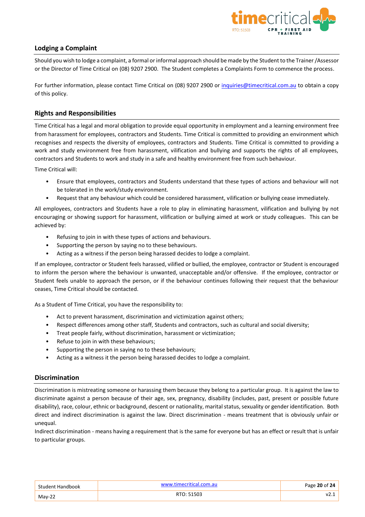

# <span id="page-20-0"></span>**Lodging a Complaint**

Should you wish to lodge a complaint, a formal or informal approach should be made by the Student to the Trainer/Assessor or the Director of Time Critical on (08) 9207 2900. The Student completes a Complaints Form to commence the process.

For further information, please contact Time Critical on (08) 9207 2900 or [inquiries@timecritical.com.au](mailto:info@timecritical.com.au) to obtain a copy of this policy.

# <span id="page-20-1"></span>**Rights and Responsibilities**

Time Critical has a legal and moral obligation to provide equal opportunity in employment and a learning environment free from harassment for employees, contractors and Students. Time Critical is committed to providing an environment which recognises and respects the diversity of employees, contractors and Students. Time Critical is committed to providing a work and study environment free from harassment, vilification and bullying and supports the rights of all employees, contractors and Students to work and study in a safe and healthy environment free from such behaviour.

Time Critical will:

- Ensure that employees, contractors and Students understand that these types of actions and behaviour will not be tolerated in the work/study environment.
- Request that any behaviour which could be considered harassment, vilification or bullying cease immediately.

All employees, contractors and Students have a role to play in eliminating harassment, vilification and bullying by not encouraging or showing support for harassment, vilification or bullying aimed at work or study colleagues. This can be achieved by:

- Refusing to join in with these types of actions and behaviours.
- Supporting the person by saying no to these behaviours.
- Acting as a witness if the person being harassed decides to lodge a complaint.

If an employee, contractor or Student feels harassed, vilified or bullied, the employee, contractor or Student is encouraged to inform the person where the behaviour is unwanted, unacceptable and/or offensive. If the employee, contractor or Student feels unable to approach the person, or if the behaviour continues following their request that the behaviour ceases, Time Critical should be contacted.

As a Student of Time Critical, you have the responsibility to:

- Act to prevent harassment, discrimination and victimization against others;
- Respect differences among other staff, Students and contractors, such as cultural and social diversity;
- Treat people fairly, without discrimination, harassment or victimization;
- Refuse to join in with these behaviours;
- Supporting the person in saying no to these behaviours;
- Acting as a witness it the person being harassed decides to lodge a complaint.

# <span id="page-20-2"></span>**Discrimination**

Discrimination is mistreating someone or harassing them because they belong to a particular group. It is against the law to discriminate against a person because of their age, sex, pregnancy, disability (includes, past, present or possible future disability), race, colour, ethnic or background, descent or nationality, marital status, sexuality or gender identification. Both direct and indirect discrimination is against the law. Direct discrimination - means treatment that is obviously unfair or unequal.

Indirect discrimination - means having a requirement that is the same for everyone but has an effect or result that is unfair to particular groups.

| <b>Student Handbook</b> | www.timecritical.com.au | Page 20 of 24, |
|-------------------------|-------------------------|----------------|
| $May-22$                | RTO: 51503              | ۷۷.,           |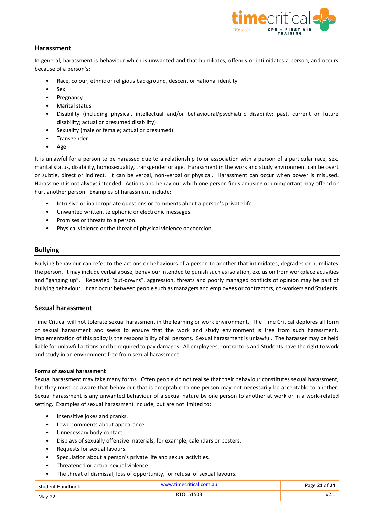

# <span id="page-21-0"></span>**Harassment**

In general, harassment is behaviour which is unwanted and that humiliates, offends or intimidates a person, and occurs because of a person's:

- Race, colour, ethnic or religious background, descent or national identity
- Sex
- Pregnancy
- Marital status
- Disability (including physical, intellectual and/or behavioural/psychiatric disability; past, current or future disability; actual or presumed disability)
- Sexuality (male or female; actual or presumed)
- Transgender
- Age

It is unlawful for a person to be harassed due to a relationship to or association with a person of a particular race, sex, marital status, disability, homosexuality, transgender or age. Harassment in the work and study environment can be overt or subtle, direct or indirect. It can be verbal, non-verbal or physical. Harassment can occur when power is misused. Harassment is not always intended. Actions and behaviour which one person finds amusing or unimportant may offend or hurt another person. Examples of harassment include:

- Intrusive or inappropriate questions or comments about a person's private life.
- Unwanted written, telephonic or electronic messages.
- Promises or threats to a person.
- Physical violence or the threat of physical violence or coercion.

#### <span id="page-21-1"></span>**Bullying**

Bullying behaviour can refer to the actions or behaviours of a person to another that intimidates, degrades or humiliates the person. It may include verbal abuse, behaviour intended to punish such as isolation, exclusion from workplace activities and "ganging up". Repeated "put-downs", aggression, threats and poorly managed conflicts of opinion may be part of bullying behaviour. It can occur between people such as managers and employees or contractors, co-workers and Students.

#### <span id="page-21-2"></span>**Sexual harassment**

Time Critical will not tolerate sexual harassment in the learning or work environment. The Time Critical deplores all form of sexual harassment and seeks to ensure that the work and study environment is free from such harassment. Implementation of this policy is the responsibility of all persons. Sexual harassment is unlawful. The harasser may be held liable for unlawful actions and be required to pay damages. All employees, contractors and Students have the right to work and study in an environment free from sexual harassment.

#### **Forms of sexual harassment**

Sexual harassment may take many forms. Often people do not realise that their behaviour constitutes sexual harassment, but they must be aware that behaviour that is acceptable to one person may not necessarily be acceptable to another. Sexual harassment is any unwanted behaviour of a sexual nature by one person to another at work or in a work-related setting. Examples of sexual harassment include, but are not limited to:

- Insensitive jokes and pranks.
- Lewd comments about appearance.
- Unnecessary body contact.
- Displays of sexually offensive materials, for example, calendars or posters.
- Requests for sexual favours.
- Speculation about a person's private life and sexual activities.
- Threatened or actual sexual violence.
- The threat of dismissal, loss of opportunity, for refusal of sexual favours.

| Student Handbook | www.timecritical.com.au | Page 21 of 24 |
|------------------|-------------------------|---------------|
| $Mav-22$         | RTO: 51503              | V2.1          |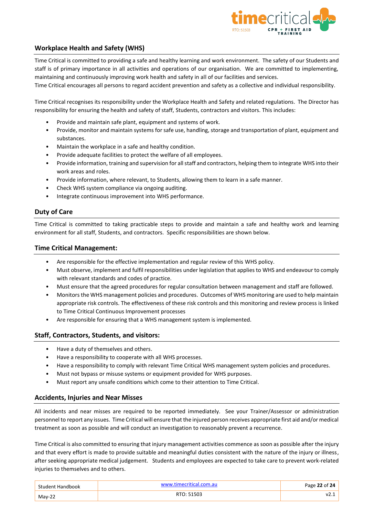

# <span id="page-22-0"></span>**Workplace Health and Safety (WHS)**

Time Critical is committed to providing a safe and healthy learning and work environment. The safety of our Students and staff is of primary importance in all activities and operations of our organisation. We are committed to implementing, maintaining and continuously improving work health and safety in all of our facilities and services.

Time Critical encourages all persons to regard accident prevention and safety as a collective and individual responsibility.

Time Critical recognises its responsibility under the Workplace Health and Safety and related regulations. The Director has responsibility for ensuring the health and safety of staff, Students, contractors and visitors. This includes:

- Provide and maintain safe plant, equipment and systems of work.
- Provide, monitor and maintain systems for safe use, handling, storage and transportation of plant, equipment and substances.
- Maintain the workplace in a safe and healthy condition.
- Provide adequate facilities to protect the welfare of all employees.
- Provide information, training and supervision for all staff and contractors, helping them to integrate WHS into their work areas and roles.
- Provide information, where relevant, to Students, allowing them to learn in a safe manner.
- Check WHS system compliance via ongoing auditing.
- Integrate continuous improvement into WHS performance.

# <span id="page-22-1"></span>**Duty of Care**

Time Critical is committed to taking practicable steps to provide and maintain a safe and healthy work and learning environment for all staff, Students, and contractors. Specific responsibilities are shown below.

#### <span id="page-22-2"></span>**Time Critical Management:**

- Are responsible for the effective implementation and regular review of this WHS policy.
- Must observe, implement and fulfil responsibilities under legislation that applies to WHS and endeavour to comply with relevant standards and codes of practice.
- Must ensure that the agreed procedures for regular consultation between management and staff are followed.
- Monitors the WHS management policies and procedures. Outcomes of WHS monitoring are used to help maintain appropriate risk controls. The effectiveness of these risk controls and this monitoring and review process is linked to Time Critical Continuous Improvement processes
- Are responsible for ensuring that a WHS management system is implemented.

# <span id="page-22-3"></span>**Staff, Contractors, Students, and visitors:**

- Have a duty of themselves and others.
- Have a responsibility to cooperate with all WHS processes.
- Have a responsibility to comply with relevant Time Critical WHS management system policies and procedures.
- Must not bypass or misuse systems or equipment provided for WHS purposes.
- Must report any unsafe conditions which come to their attention to Time Critical.

# <span id="page-22-4"></span>**Accidents, Injuries and Near Misses**

All incidents and near misses are required to be reported immediately. See your Trainer/Assessor or administration personnel to report any issues. Time Critical will ensure that the injured person receives appropriate first aid and/or medical treatment as soon as possible and will conduct an investigation to reasonably prevent a recurrence.

Time Critical is also committed to ensuring that injury management activities commence as soon as possible after the injury and that every effort is made to provide suitable and meaningful duties consistent with the nature of the injury or illness, after seeking appropriate medical judgement. Students and employees are expected to take care to prevent work-related injuries to themselves and to others.

| Student Handbook | www.timecritical.com.au | Page 22 of 24 |
|------------------|-------------------------|---------------|
| $Mav-22$         | RTO: 51503              |               |